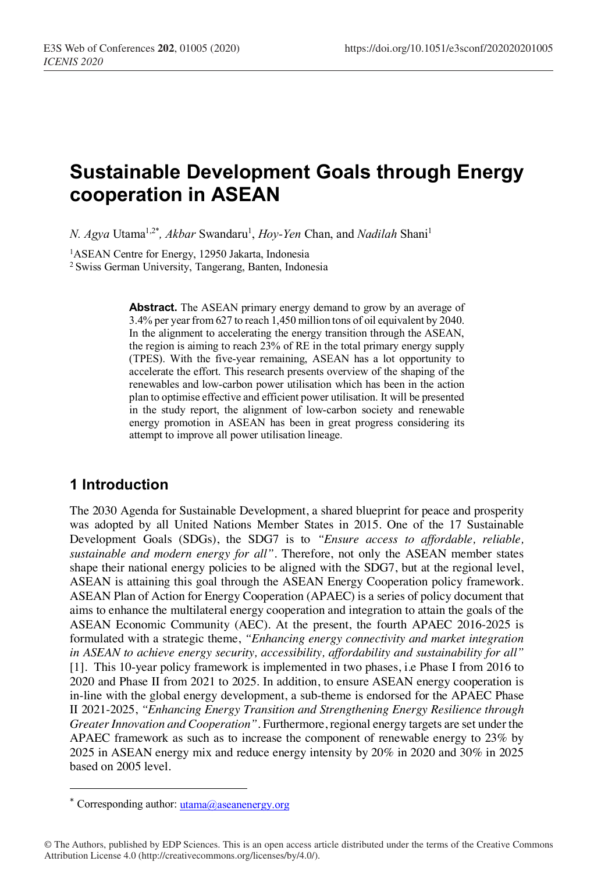# **Sustainable Development Goals through Energy cooperation in ASEAN**

*N. Agya Utama<sup>1,2\*</sup>, Akbar Swandaru<sup>1</sup>, <i>Hoy-Yen Chan, and Nadilah Shani<sup>1</sup>* 

<sup>1</sup>ASEAN Centre for Energy, 12950 Jakarta, Indonesia

2 Swiss German University, Tangerang, Banten, Indonesia

**Abstract.** The ASEAN primary energy demand to grow by an average of 3.4% per year from 627 to reach 1,450 million tons of oil equivalent by 2040. In the alignment to accelerating the energy transition through the ASEAN, the region is aiming to reach 23% of RE in the total primary energy supply (TPES). With the five-year remaining, ASEAN has a lot opportunity to accelerate the effort. This research presents overview of the shaping of the renewables and low-carbon power utilisation which has been in the action plan to optimise effective and efficient power utilisation. It will be presented in the study report, the alignment of low-carbon society and renewable energy promotion in ASEAN has been in great progress considering its attempt to improve all power utilisation lineage.

#### **1 Introduction**

I

The 2030 Agenda for Sustainable Development, a shared blueprint for peace and prosperity was adopted by all United Nations Member States in 2015. One of the 17 Sustainable Development Goals (SDGs), the SDG7 is to *"Ensure access to affordable, reliable, sustainable and modern energy for all"*. Therefore, not only the ASEAN member states shape their national energy policies to be aligned with the SDG7, but at the regional level, ASEAN is attaining this goal through the ASEAN Energy Cooperation policy framework. ASEAN Plan of Action for Energy Cooperation (APAEC) is a series of policy document that aims to enhance the multilateral energy cooperation and integration to attain the goals of the ASEAN Economic Community (AEC). At the present, the fourth APAEC 2016-2025 is formulated with a strategic theme, *"Enhancing energy connectivity and market integration in ASEAN to achieve energy security, accessibility, affordability and sustainability for all"*  [1]. This 10-year policy framework is implemented in two phases, i.e Phase I from 2016 to 2020 and Phase II from 2021 to 2025. In addition, to ensure ASEAN energy cooperation is in-line with the global energy development, a sub-theme is endorsed for the APAEC Phase II 2021-2025, *"Enhancing Energy Transition and Strengthening Energy Resilience through Greater Innovation and Cooperation"*. Furthermore, regional energy targets are set under the APAEC framework as such as to increase the component of renewable energy to 23% by 2025 in ASEAN energy mix and reduce energy intensity by 20% in 2020 and 30% in 2025 based on 2005 level.

<sup>\*</sup> Corresponding author: utama@aseanenergy.org

<sup>©</sup> The Authors, published by EDP Sciences. This is an open access article distributed under the terms of the Creative Commons Attribution License 4.0 (http://creativecommons.org/licenses/by/4.0/).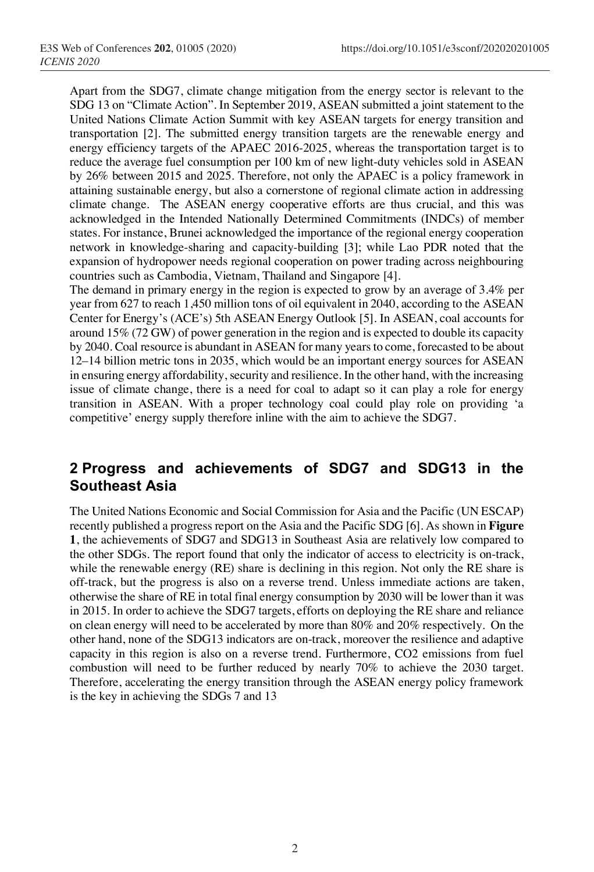Apart from the SDG7, climate change mitigation from the energy sector is relevant to the SDG 13 on "Climate Action". In September 2019, ASEAN submitted a joint statement to the United Nations Climate Action Summit with key ASEAN targets for energy transition and transportation [2]. The submitted energy transition targets are the renewable energy and energy efficiency targets of the APAEC 2016-2025, whereas the transportation target is to reduce the average fuel consumption per 100 km of new light-duty vehicles sold in ASEAN by 26% between 2015 and 2025. Therefore, not only the APAEC is a policy framework in attaining sustainable energy, but also a cornerstone of regional climate action in addressing climate change. The ASEAN energy cooperative efforts are thus crucial, and this was acknowledged in the Intended Nationally Determined Commitments (INDCs) of member states. For instance, Brunei acknowledged the importance of the regional energy cooperation network in knowledge-sharing and capacity-building [3]; while Lao PDR noted that the expansion of hydropower needs regional cooperation on power trading across neighbouring countries such as Cambodia, Vietnam, Thailand and Singapore [4].

The demand in primary energy in the region is expected to grow by an average of 3.4% per year from 627 to reach 1,450 million tons of oil equivalent in 2040, according to the ASEAN Center for Energy's (ACE's) 5th ASEAN Energy Outlook [5]. In ASEAN, coal accounts for around 15% (72 GW) of power generation in the region and is expected to double its capacity by 2040. Coal resource is abundant in ASEAN for many years to come, forecasted to be about 12–14 billion metric tons in 2035, which would be an important energy sources for ASEAN in ensuring energy affordability, security and resilience. In the other hand, with the increasing issue of climate change, there is a need for coal to adapt so it can play a role for energy transition in ASEAN. With a proper technology coal could play role on providing 'a competitive' energy supply therefore inline with the aim to achieve the SDG7.

### **2 Progress and achievements of SDG7 and SDG13 in the Southeast Asia**

The United Nations Economic and Social Commission for Asia and the Pacific (UN ESCAP) recently published a progress report on the Asia and the Pacific SDG [6]. As shown in **Figure 1**, the achievements of SDG7 and SDG13 in Southeast Asia are relatively low compared to the other SDGs. The report found that only the indicator of access to electricity is on-track, while the renewable energy (RE) share is declining in this region. Not only the RE share is off-track, but the progress is also on a reverse trend. Unless immediate actions are taken, otherwise the share of RE in total final energy consumption by 2030 will be lower than it was in 2015. In order to achieve the SDG7 targets, efforts on deploying the RE share and reliance on clean energy will need to be accelerated by more than 80% and 20% respectively. On the other hand, none of the SDG13 indicators are on-track, moreover the resilience and adaptive capacity in this region is also on a reverse trend. Furthermore, CO2 emissions from fuel combustion will need to be further reduced by nearly 70% to achieve the 2030 target. Therefore, accelerating the energy transition through the ASEAN energy policy framework is the key in achieving the SDGs 7 and 13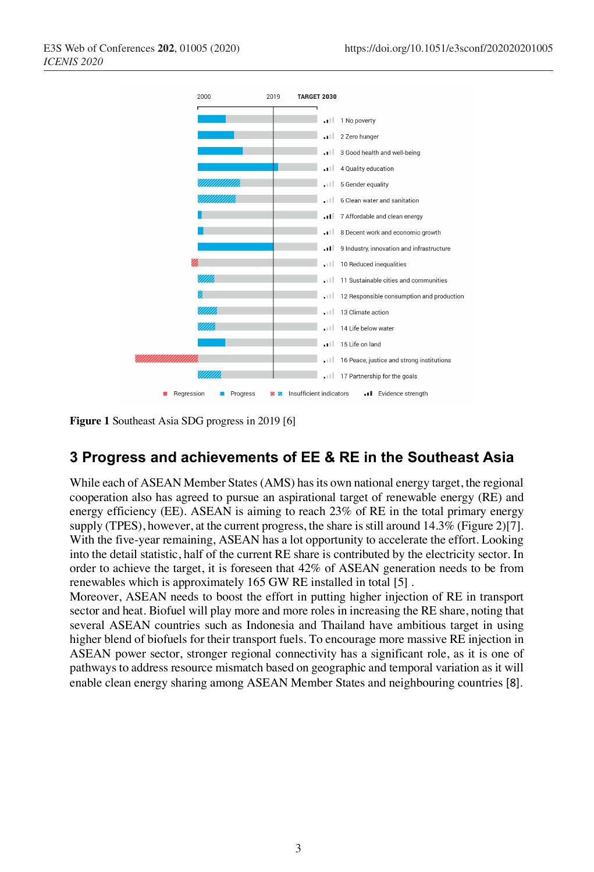

**Figure 1** Southeast Asia SDG progress in 2019 [6]

#### **3 Progress and achievements of EE & RE in the Southeast Asia**

While each of ASEAN Member States (AMS) has its own national energy target, the regional cooperation also has agreed to pursue an aspirational target of renewable energy (RE) and energy efficiency (EE). ASEAN is aiming to reach 23% of RE in the total primary energy supply (TPES), however, at the current progress, the share is still around  $14.3\%$  (Figure 2)[7]. With the five-year remaining, ASEAN has a lot opportunity to accelerate the effort. Looking into the detail statistic, half of the current RE share is contributed by the electricity sector. In order to achieve the target, it is foreseen that 42% of ASEAN generation needs to be from renewables which is approximately 165 GW RE installed in total [5] .

Moreover, ASEAN needs to boost the effort in putting higher injection of RE in transport sector and heat. Biofuel will play more and more roles in increasing the RE share, noting that several ASEAN countries such as Indonesia and Thailand have ambitious target in using higher blend of biofuels for their transport fuels. To encourage more massive RE injection in ASEAN power sector, stronger regional connectivity has a significant role, as it is one of pathways to address resource mismatch based on geographic and temporal variation as it will enable clean energy sharing among ASEAN Member States and neighbouring countries [8].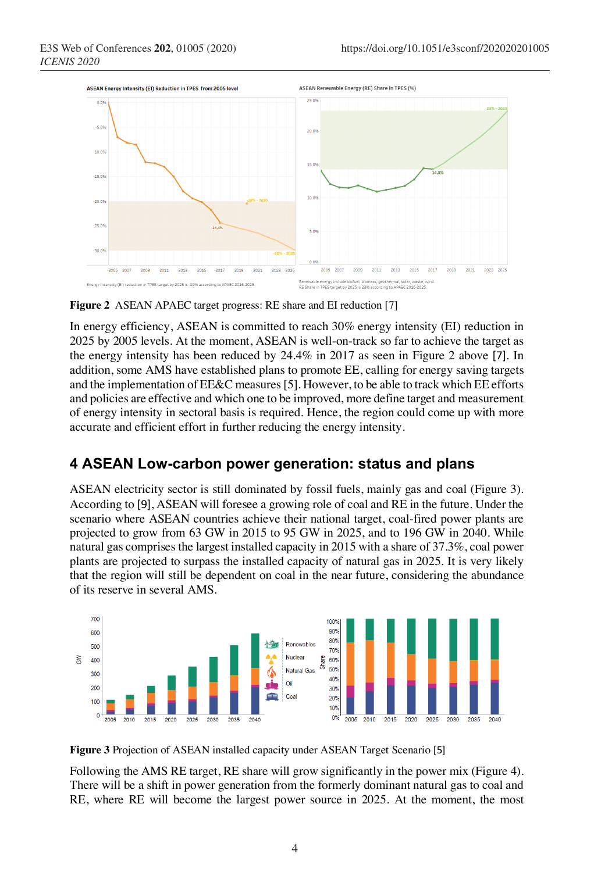

**Figure 2** ASEAN APAEC target progress: RE share and EI reduction [7]

In energy efficiency, ASEAN is committed to reach 30% energy intensity (EI) reduction in 2025 by 2005 levels. At the moment, ASEAN is well-on-track so far to achieve the target as the energy intensity has been reduced by 24.4% in 2017 as seen in Figure 2 above [7]. In addition, some AMS have established plans to promote EE, calling for energy saving targets and the implementation of EE&C measures[5]. However, to be able to track which EE efforts and policies are effective and which one to be improved, more define target and measurement of energy intensity in sectoral basis is required. Hence, the region could come up with more accurate and efficient effort in further reducing the energy intensity.

#### **4 ASEAN Low-carbon power generation: status and plans**

ASEAN electricity sector is still dominated by fossil fuels, mainly gas and coal (Figure 3). According to [9], ASEAN will foresee a growing role of coal and RE in the future. Under the scenario where ASEAN countries achieve their national target, coal-fired power plants are projected to grow from 63 GW in 2015 to 95 GW in 2025, and to 196 GW in 2040. While natural gas comprises the largest installed capacity in 2015 with a share of 37.3%, coal power plants are projected to surpass the installed capacity of natural gas in 2025. It is very likely that the region will still be dependent on coal in the near future, considering the abundance of its reserve in several AMS.



**Figure 3** Projection of ASEAN installed capacity under ASEAN Target Scenario [5]

Following the AMS RE target, RE share will grow significantly in the power mix (Figure 4). There will be a shift in power generation from the formerly dominant natural gas to coal and RE, where RE will become the largest power source in 2025. At the moment, the most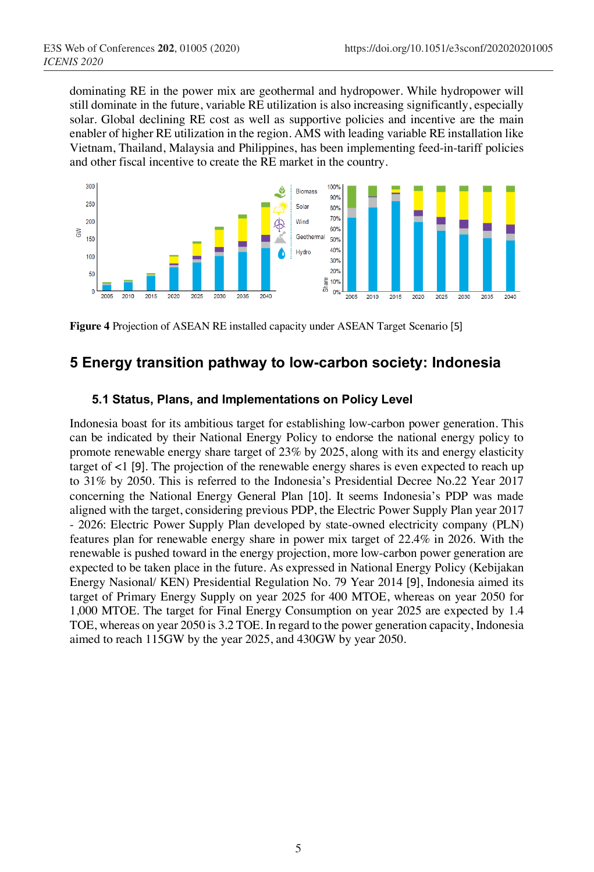dominating RE in the power mix are geothermal and hydropower. While hydropower will still dominate in the future, variable RE utilization is also increasing significantly, especially solar. Global declining RE cost as well as supportive policies and incentive are the main enabler of higher RE utilization in the region. AMS with leading variable RE installation like Vietnam, Thailand, Malaysia and Philippines, has been implementing feed-in-tariff policies and other fiscal incentive to create the RE market in the country.



**Figure 4** Projection of ASEAN RE installed capacity under ASEAN Target Scenario [5]

### **5 Energy transition pathway to low-carbon society: Indonesia**

#### **5.1 Status, Plans, and Implementations on Policy Level**

Indonesia boast for its ambitious target for establishing low-carbon power generation. This can be indicated by their National Energy Policy to endorse the national energy policy to promote renewable energy share target of 23% by 2025, along with its and energy elasticity target of <1 [9]. The projection of the renewable energy shares is even expected to reach up to 31% by 2050. This is referred to the Indonesia's Presidential Decree No.22 Year 2017 concerning the National Energy General Plan [10]. It seems Indonesia's PDP was made aligned with the target, considering previous PDP, the Electric Power Supply Plan year 2017 - 2026: Electric Power Supply Plan developed by state-owned electricity company (PLN) features plan for renewable energy share in power mix target of 22.4% in 2026. With the renewable is pushed toward in the energy projection, more low-carbon power generation are expected to be taken place in the future. As expressed in National Energy Policy (Kebijakan Energy Nasional/ KEN) Presidential Regulation No. 79 Year 2014 [9], Indonesia aimed its target of Primary Energy Supply on year 2025 for 400 MTOE, whereas on year 2050 for 1,000 MTOE. The target for Final Energy Consumption on year 2025 are expected by 1.4 TOE, whereas on year 2050 is 3.2 TOE. In regard to the power generation capacity, Indonesia aimed to reach 115GW by the year 2025, and 430GW by year 2050.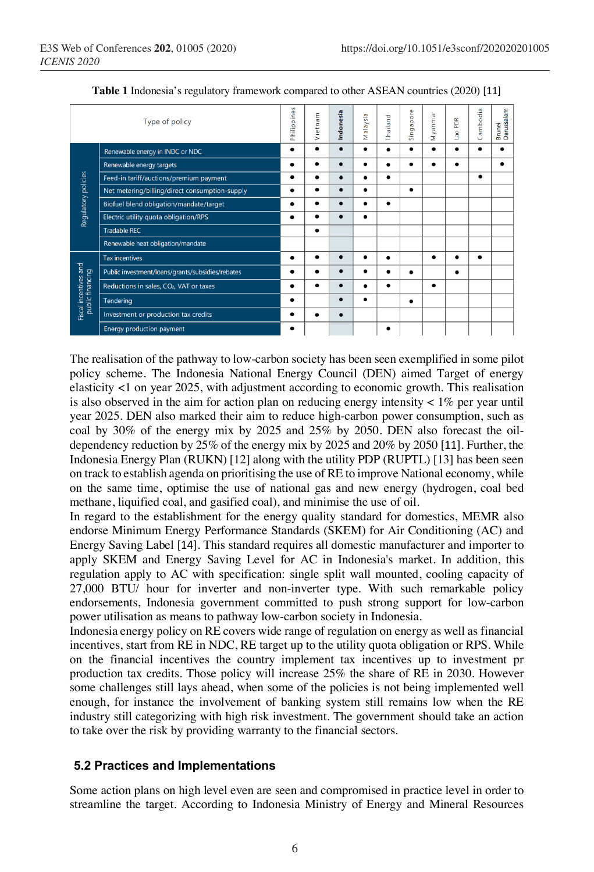| Type of policy                            |                                                     | Philippines | Vietnam   | Indonesia | Malaysia  | Thailand  | ore<br>Singapo | Myanmar | PDR<br><b>GE</b> | ambodia<br>Ö | Brunei<br>Darussalam |
|-------------------------------------------|-----------------------------------------------------|-------------|-----------|-----------|-----------|-----------|----------------|---------|------------------|--------------|----------------------|
| Regulatory policies                       | Renewable energy in INDC or NDC                     |             |           |           | $\bullet$ |           |                |         |                  |              |                      |
|                                           | Renewable energy targets                            |             |           | $\bullet$ | $\bullet$ | $\bullet$ |                |         |                  |              | $\bullet$            |
|                                           | Feed-in tariff/auctions/premium payment             |             |           |           | ٠         | $\bullet$ |                |         |                  |              |                      |
|                                           | Net metering/billing/direct consumption-supply      |             |           | $\bullet$ | ٠         |           | ٠              |         |                  |              |                      |
|                                           | Biofuel blend obligation/mandate/target             |             |           |           |           |           |                |         |                  |              |                      |
|                                           | Electric utility quota obligation/RPS               |             |           |           | $\bullet$ |           |                |         |                  |              |                      |
|                                           | <b>Tradable REC</b>                                 |             | $\bullet$ |           |           |           |                |         |                  |              |                      |
|                                           | Renewable heat obligation/mandate                   |             |           |           |           |           |                |         |                  |              |                      |
| Fiscal incentives and<br>public financing | <b>Tax incentives</b>                               |             |           |           | ٠         |           |                |         |                  |              |                      |
|                                           | Public investment/loans/grants/subsidies/rebates    |             |           |           |           |           |                |         |                  |              |                      |
|                                           | Reductions in sales, CO <sub>2</sub> , VAT or taxes |             |           |           | ٠         | $\bullet$ |                |         |                  |              |                      |
|                                           | Tendering                                           |             |           |           | $\bullet$ |           | ٠              |         |                  |              |                      |
|                                           | Investment or production tax credits                |             |           |           |           |           |                |         |                  |              |                      |
|                                           | <b>Energy production payment</b>                    |             |           |           |           | ٠         |                |         |                  |              |                      |

**Table 1** Indonesia's regulatory framework compared to other ASEAN countries (2020) [11]

The realisation of the pathway to low-carbon society has been seen exemplified in some pilot policy scheme. The Indonesia National Energy Council (DEN) aimed Target of energy elasticity <1 on year 2025, with adjustment according to economic growth. This realisation is also observed in the aim for action plan on reducing energy intensity  $\lt 1\%$  per year until year 2025. DEN also marked their aim to reduce high-carbon power consumption, such as coal by 30% of the energy mix by 2025 and 25% by 2050. DEN also forecast the oildependency reduction by 25% of the energy mix by 2025 and 20% by 2050 [11]. Further, the Indonesia Energy Plan (RUKN) [12] along with the utility PDP (RUPTL) [13] has been seen on track to establish agenda on prioritising the use of RE to improve National economy, while on the same time, optimise the use of national gas and new energy (hydrogen, coal bed methane, liquified coal, and gasified coal), and minimise the use of oil.

In regard to the establishment for the energy quality standard for domestics, MEMR also endorse Minimum Energy Performance Standards (SKEM) for Air Conditioning (AC) and Energy Saving Label [14]. This standard requires all domestic manufacturer and importer to apply SKEM and Energy Saving Level for AC in Indonesia's market. In addition, this regulation apply to AC with specification: single split wall mounted, cooling capacity of 27,000 BTU/ hour for inverter and non-inverter type. With such remarkable policy endorsements, Indonesia government committed to push strong support for low-carbon power utilisation as means to pathway low-carbon society in Indonesia.

Indonesia energy policy on RE covers wide range of regulation on energy as well as financial incentives, start from RE in NDC, RE target up to the utility quota obligation or RPS. While on the financial incentives the country implement tax incentives up to investment pr production tax credits. Those policy will increase 25% the share of RE in 2030. However some challenges still lays ahead, when some of the policies is not being implemented well enough, for instance the involvement of banking system still remains low when the RE industry still categorizing with high risk investment. The government should take an action to take over the risk by providing warranty to the financial sectors.

#### **5.2 Practices and Implementations**

Some action plans on high level even are seen and compromised in practice level in order to streamline the target. According to Indonesia Ministry of Energy and Mineral Resources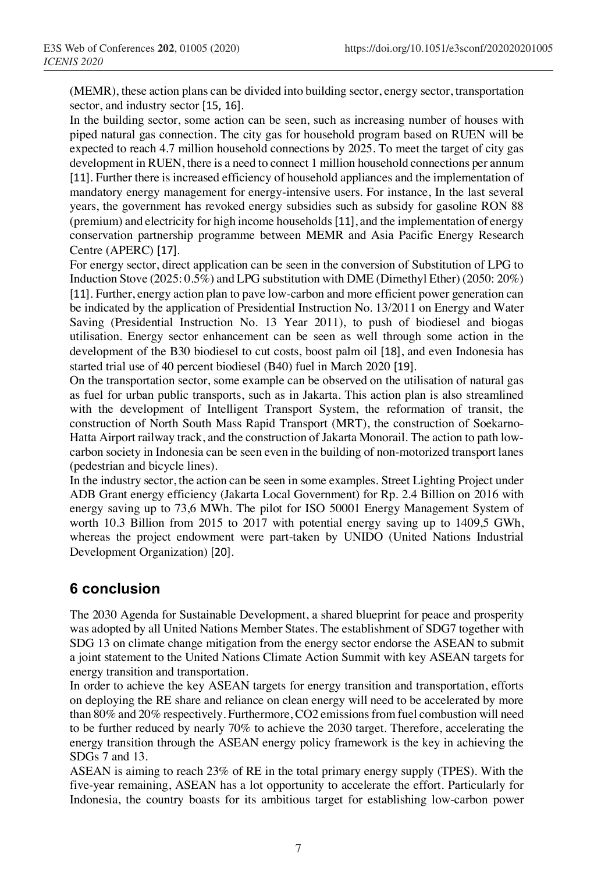(MEMR), these action plans can be divided into building sector, energy sector, transportation sector, and industry sector [15, 16].

In the building sector, some action can be seen, such as increasing number of houses with piped natural gas connection. The city gas for household program based on RUEN will be expected to reach 4.7 million household connections by 2025. To meet the target of city gas development in RUEN, there is a need to connect 1 million household connections per annum [11]. Further there is increased efficiency of household appliances and the implementation of mandatory energy management for energy-intensive users. For instance, In the last several years, the government has revoked energy subsidies such as subsidy for gasoline RON 88 (premium) and electricity for high income households[11], and the implementation of energy conservation partnership programme between MEMR and Asia Pacific Energy Research Centre (APERC) [17].

For energy sector, direct application can be seen in the conversion of Substitution of LPG to Induction Stove (2025: 0.5%) and LPG substitution with DME (Dimethyl Ether) (2050: 20%) [11]. Further, energy action plan to pave low-carbon and more efficient power generation can be indicated by the application of Presidential Instruction No. 13/2011 on Energy and Water Saving (Presidential Instruction No. 13 Year 2011), to push of biodiesel and biogas utilisation. Energy sector enhancement can be seen as well through some action in the development of the B30 biodiesel to cut costs, boost palm oil [18], and even Indonesia has started trial use of 40 percent biodiesel (B40) fuel in March 2020 [19].

On the transportation sector, some example can be observed on the utilisation of natural gas as fuel for urban public transports, such as in Jakarta. This action plan is also streamlined with the development of Intelligent Transport System, the reformation of transit, the construction of North South Mass Rapid Transport (MRT), the construction of Soekarno-Hatta Airport railway track, and the construction of Jakarta Monorail. The action to path lowcarbon society in Indonesia can be seen even in the building of non-motorized transport lanes (pedestrian and bicycle lines).

In the industry sector, the action can be seen in some examples. Street Lighting Project under ADB Grant energy efficiency (Jakarta Local Government) for Rp. 2.4 Billion on 2016 with energy saving up to 73,6 MWh. The pilot for ISO 50001 Energy Management System of worth 10.3 Billion from 2015 to 2017 with potential energy saving up to 1409,5 GWh, whereas the project endowment were part-taken by UNIDO (United Nations Industrial Development Organization) [20].

## **6 conclusion**

The 2030 Agenda for Sustainable Development, a shared blueprint for peace and prosperity was adopted by all United Nations Member States. The establishment of SDG7 together with SDG 13 on climate change mitigation from the energy sector endorse the ASEAN to submit a joint statement to the United Nations Climate Action Summit with key ASEAN targets for energy transition and transportation.

In order to achieve the key ASEAN targets for energy transition and transportation, efforts on deploying the RE share and reliance on clean energy will need to be accelerated by more than 80% and 20% respectively. Furthermore, CO2 emissions from fuel combustion will need to be further reduced by nearly 70% to achieve the 2030 target. Therefore, accelerating the energy transition through the ASEAN energy policy framework is the key in achieving the SDGs 7 and 13.

ASEAN is aiming to reach 23% of RE in the total primary energy supply (TPES). With the five-year remaining, ASEAN has a lot opportunity to accelerate the effort. Particularly for Indonesia, the country boasts for its ambitious target for establishing low-carbon power